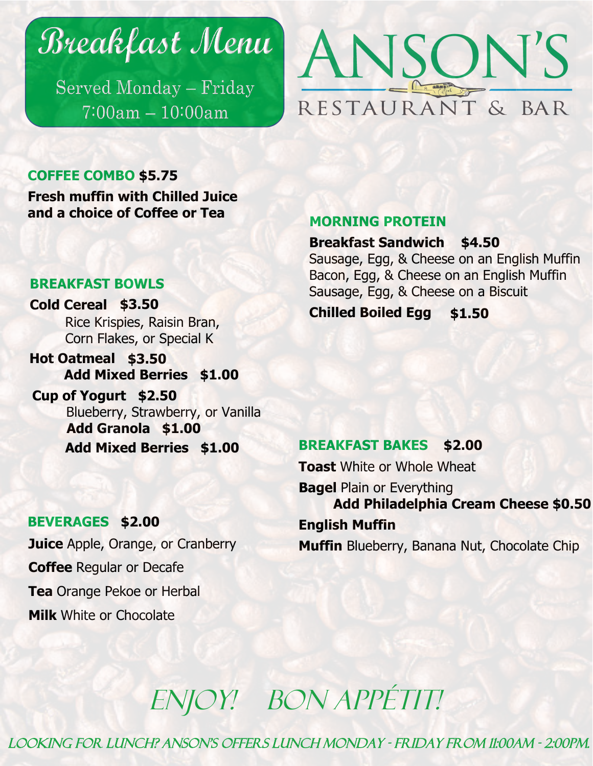Breakfast Menu

Served Monday - Friday  $7:00am - 10:00am$ 



### **COFFEE COMBO \$5.75**

**Fresh muffin with Chilled Juice and a choice of Coffee or Tea**

#### **BREAKFAST BOWLS**

**Cold Cereal \$3.50** Rice Krispies, Raisin Bran, Corn Flakes, or Special K

**Hot Oatmeal \$3.50 Add Mixed Berries \$1.00**

Blueberry, Strawberry, or Vanilla **Add Granola \$1.00 Add Mixed Berries \$1.00 Cup of Yogurt \$2.50**

### **BEVERAGES \$2.00**

**Juice** Apple, Orange, or Cranberry **Coffee** Regular or Decafe **Tea** Orange Pekoe or Herbal **Milk** White or Chocolate

### **MORNING PROTEIN**

#### **Breakfast Sandwich \$4.50**

Sausage, Egg, & Cheese on an English Muffin Bacon, Egg, & Cheese on an English Muffin Sausage, Egg, & Cheese on a Biscuit

**Chilled Boiled Egg \$1.50**

#### **BREAKFAST BAKES \$2.00**

**Toast** White or Whole Wheat

**Bagel** Plain or Everything **Add Philadelphia Cream Cheese \$0.50 English Muffin**

**Muffin** Blueberry, Banana Nut, Chocolate Chip

ENJOY! BON APPÉTIT!

Looking for Lunch? Anson's Offers Lunch Monday - Friday from 11:00am - 2:00pm.